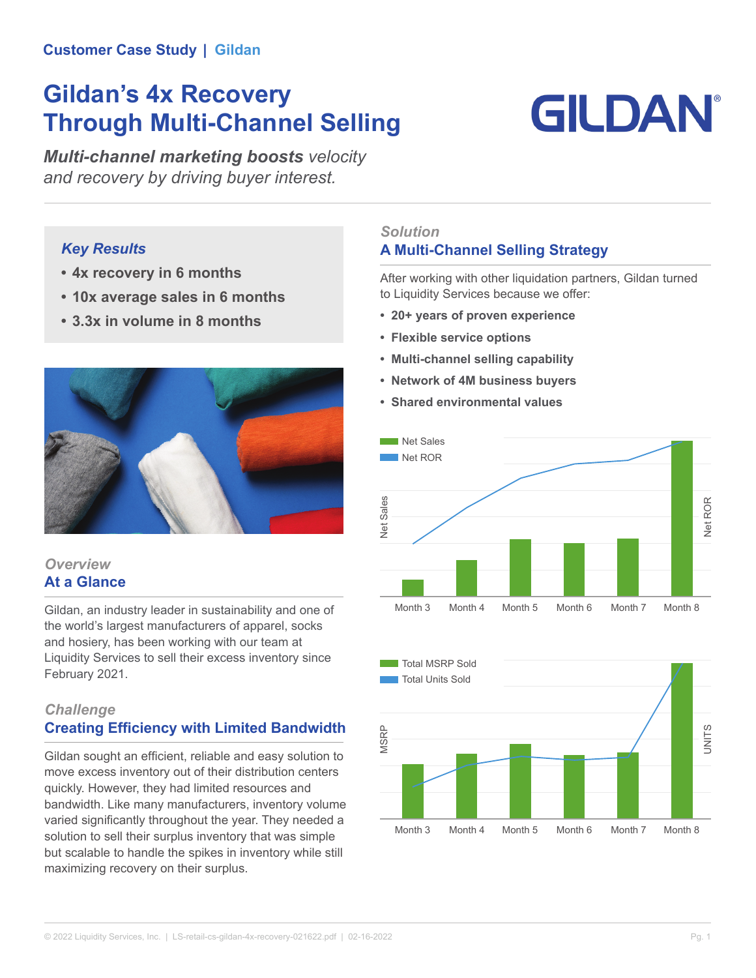#### **Customer Case Study | Gildan**

# **Gildan's 4x Recovery Through Multi-Channel Selling**

# **GILDAN**

*Multi-channel marketing boosts velocity and recovery by driving buyer interest.*

### *Key Results*

- **• 4x recovery in 6 months**
- **• 10x average sales in 6 months**
- **• 3.3x in volume in 8 months**



#### *Overview* **At a Glance**

Gildan, an industry leader in sustainability and one of the world's largest manufacturers of apparel, socks and hosiery, has been working with our team at Liquidity Services to sell their excess inventory since February 2021.

# *Challenge*

## **Creating Efficiency with Limited Bandwidth**

Gildan sought an efficient, reliable and easy solution to move excess inventory out of their distribution centers quickly. However, they had limited resources and bandwidth. Like many manufacturers, inventory volume varied significantly throughout the year. They needed a solution to sell their surplus inventory that was simple but scalable to handle the spikes in inventory while still maximizing recovery on their surplus.

#### *Solution* **A Multi-Channel Selling Strategy**

After working with other liquidation partners, Gildan turned to Liquidity Services because we offer:

- **• 20+ years of proven experience**
- **• Flexible service options**
- **• Multi-channel selling capability**
- **• Network of 4M business buyers**
- **• Shared environmental values**